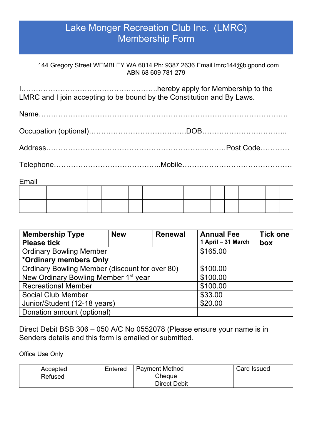## Lake Monger Recreation Club Inc. (LMRC) Membership Form

144 Gregory Street WEMBLEY WA 6014 Ph: 9387 2636 Email lmrc144@bigpond.com ABN 68 609 781 279

I………………………………………………..hereby apply for Membership to the LMRC and I join accepting to be bound by the Constitution and By Laws.

Name…………………………………………………………………………………………

Occupation (optional)……………………………………DOB……………………………

Address………………………………………………………..………Post Code…………

Telephone……………………………………..Mobile………………………………………

| Email |  |  |  |  |  |  |  |  |  |  |  |  |  |  |  |
|-------|--|--|--|--|--|--|--|--|--|--|--|--|--|--|--|
|       |  |  |  |  |  |  |  |  |  |  |  |  |  |  |  |
|       |  |  |  |  |  |  |  |  |  |  |  |  |  |  |  |
|       |  |  |  |  |  |  |  |  |  |  |  |  |  |  |  |

| <b>Membership Type</b>                           | <b>New</b> | <b>Renewal</b> | <b>Annual Fee</b>  | <b>Tick one</b> |  |  |  |  |
|--------------------------------------------------|------------|----------------|--------------------|-----------------|--|--|--|--|
| <b>Please tick</b>                               |            |                | 1 April - 31 March | box             |  |  |  |  |
| <b>Ordinary Bowling Member</b>                   | \$165.00   |                |                    |                 |  |  |  |  |
| *Ordinary members Only                           |            |                |                    |                 |  |  |  |  |
| Ordinary Bowling Member (discount for over 80)   | \$100.00   |                |                    |                 |  |  |  |  |
| New Ordinary Bowling Member 1 <sup>st</sup> year | \$100.00   |                |                    |                 |  |  |  |  |
| <b>Recreational Member</b>                       | \$100.00   |                |                    |                 |  |  |  |  |
| <b>Social Club Member</b>                        | \$33.00    |                |                    |                 |  |  |  |  |
| Junior/Student (12-18 years)                     | \$20.00    |                |                    |                 |  |  |  |  |
| Donation amount (optional)                       |            |                |                    |                 |  |  |  |  |

Direct Debit BSB 306 – 050 A/C No 0552078 (Please ensure your name is in Senders details and this form is emailed or submitted.

Office Use Only

| Accepted | Entered | <b>Payment Method</b> | Card Issued |
|----------|---------|-----------------------|-------------|
| Refused  |         | Cheque                |             |
|          |         | <b>Direct Debit</b>   |             |